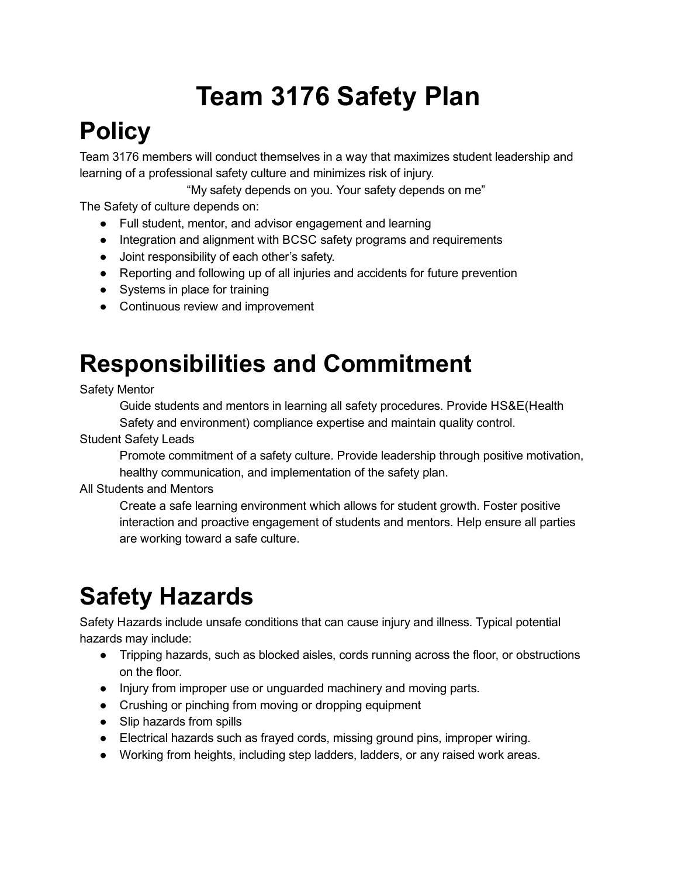# Team 3176 Safety Plan

## **Policy**

Team 3176 members will conduct themselves in a way that maximizes student leadership and learning of a professional safety culture and minimizes risk of injury.

"My safety depends on you. Your safety depends on me"

The Safety of culture depends on:

- Full student, mentor, and advisor engagement and learning
- Integration and alignment with BCSC safety programs and requirements
- Joint responsibility of each other's safety.
- Reporting and following up of all injuries and accidents for future prevention
- Systems in place for training
- Continuous review and improvement

## Responsibilities and Commitment

#### Safety Mentor

Guide students and mentors in learning all safety procedures. Provide HS&E(Health Safety and environment) compliance expertise and maintain quality control.

#### Student Safety Leads

Promote commitment of a safety culture. Provide leadership through positive motivation, healthy communication, and implementation of the safety plan.

#### All Students and Mentors

Create a safe learning environment which allows for student growth. Foster positive interaction and proactive engagement of students and mentors. Help ensure all parties are working toward a safe culture.

## Safety Hazards

Safety Hazards include unsafe conditions that can cause injury and illness. Typical potential hazards may include:

- Tripping hazards, such as blocked aisles, cords running across the floor, or obstructions on the floor.
- Injury from improper use or unguarded machinery and moving parts.
- Crushing or pinching from moving or dropping equipment
- Slip hazards from spills
- Electrical hazards such as frayed cords, missing ground pins, improper wiring.
- Working from heights, including step ladders, ladders, or any raised work areas.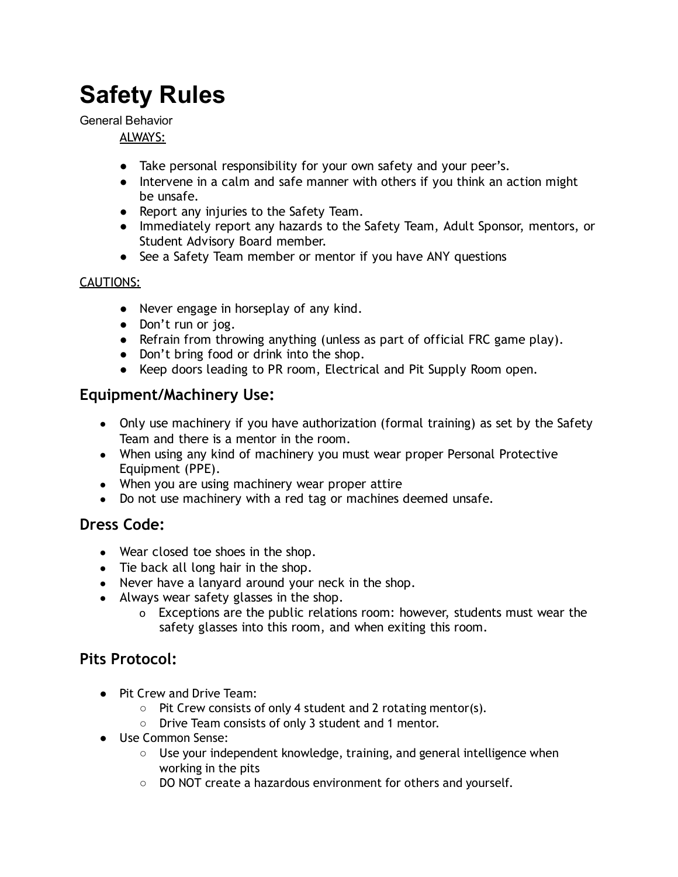## Safety Rules

General Behavior

#### ALWAYS:

- Take personal responsibility for your own safety and your peer's.
- Intervene in a calm and safe manner with others if you think an action might be unsafe.
- Report any injuries to the Safety Team.
- Immediately report any hazards to the Safety Team, Adult Sponsor, mentors, or Student Advisory Board member.
- See a Safety Team member or mentor if you have ANY questions

#### CAUTIONS:

- Never engage in horseplay of any kind.
- Don't run or jog.
- Refrain from throwing anything (unless as part of official FRC game play).
- Don't bring food or drink into the shop.
- Keep doors leading to PR room, Electrical and Pit Supply Room open.

### Equipment/Machinery Use:

- Only use machinery if you have authorization (formal training) as set by the Safety Team and there is a mentor in the room.
- When using any kind of machinery you must wear proper Personal Protective Equipment (PPE).
- When you are using machinery wear proper attire
- Do not use machinery with a red tag or machines deemed unsafe.

### Dress Code:

- Wear closed toe shoes in the shop.
- Tie back all long hair in the shop.
- Never have a lanyard around your neck in the shop.
- Always wear safety glasses in the shop.
	- o Exceptions are the public relations room: however, students must wear the safety glasses into this room, and when exiting this room.

### Pits Protocol:

- Pit Crew and Drive Team:
	- Pit Crew consists of only 4 student and 2 rotating mentor(s).
	- Drive Team consists of only 3 student and 1 mentor.
- Use Common Sense:
	- $\circ$  Use your independent knowledge, training, and general intelligence when working in the pits
	- DO NOT create a hazardous environment for others and yourself.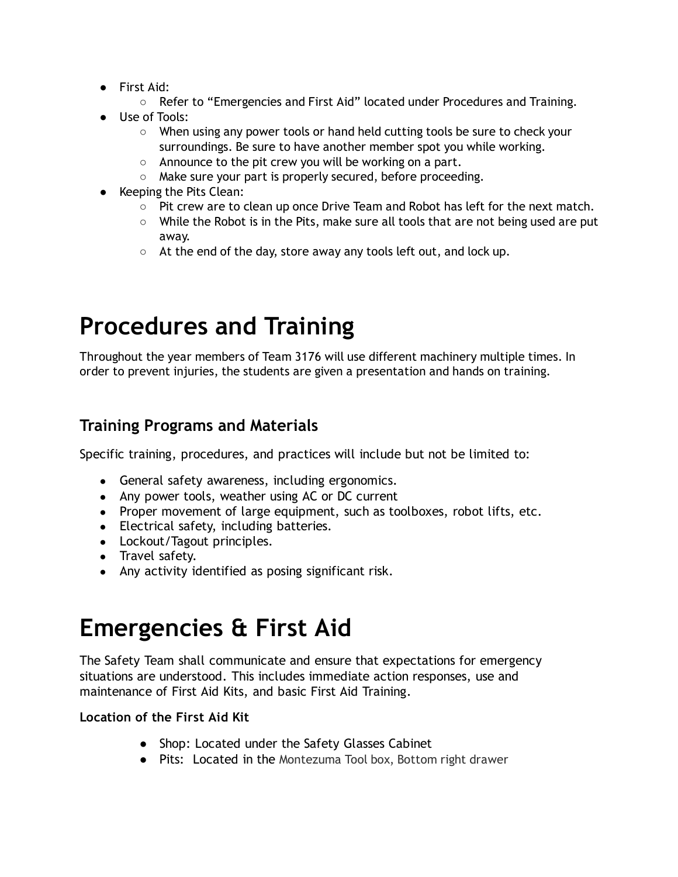- First Aid:
	- Refer to "Emergencies and First Aid" located under Procedures and Training.
- Use of Tools:
	- When using any power tools or hand held cutting tools be sure to check your surroundings. Be sure to have another member spot you while working.
	- Announce to the pit crew you will be working on a part.
	- Make sure your part is properly secured, before proceeding.
- Keeping the Pits Clean:
	- Pit crew are to clean up once Drive Team and Robot has left for the next match.
	- $\circ$  While the Robot is in the Pits, make sure all tools that are not being used are put away.
	- At the end of the day, store away any tools left out, and lock up.

## Procedures and Training

Throughout the year members of Team 3176 will use different machinery multiple times. In order to prevent injuries, the students are given a presentation and hands on training.

### Training Programs and Materials

Specific training, procedures, and practices will include but not be limited to:

- General safety awareness, including ergonomics.
- Any power tools, weather using AC or DC current
- Proper movement of large equipment, such as toolboxes, robot lifts, etc.
- Electrical safety, including batteries.
- Lockout/Tagout principles.
- Travel safety.
- Any activity identified as posing significant risk.

### Emergencies & First Aid

The Safety Team shall communicate and ensure that expectations for emergency situations are understood. This includes immediate action responses, use and maintenance of First Aid Kits, and basic First Aid Training.

#### Location of the First Aid Kit

- Shop: Located under the Safety Glasses Cabinet
- Pits: Located in the Montezuma Tool box, Bottom right drawer